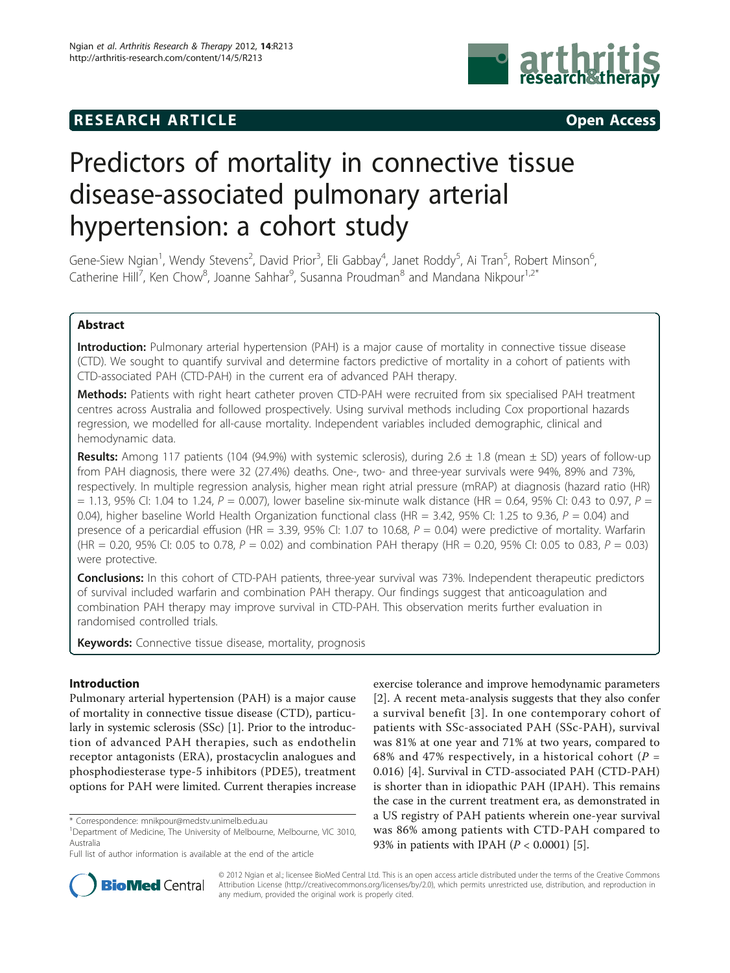# **RESEARCH ARTICLE Example 2014 CONSUMING ACCESS**



# Predictors of mortality in connective tissue disease-associated pulmonary arterial hypertension: a cohort study

Gene-Siew Ngian<sup>1</sup>, Wendy Stevens<sup>2</sup>, David Prior<sup>3</sup>, Eli Gabbay<sup>4</sup>, Janet Roddy<sup>5</sup>, Ai Tran<sup>5</sup>, Robert Minson<sup>6</sup> , Catherine Hill<sup>7</sup>, Ken Chow<sup>8</sup>, Joanne Sahhar<sup>9</sup>, Susanna Proudman<sup>8</sup> and Mandana Nikpour<sup>1,2\*</sup>

# Abstract

Introduction: Pulmonary arterial hypertension (PAH) is a major cause of mortality in connective tissue disease (CTD). We sought to quantify survival and determine factors predictive of mortality in a cohort of patients with CTD-associated PAH (CTD-PAH) in the current era of advanced PAH therapy.

Methods: Patients with right heart catheter proven CTD-PAH were recruited from six specialised PAH treatment centres across Australia and followed prospectively. Using survival methods including Cox proportional hazards regression, we modelled for all-cause mortality. Independent variables included demographic, clinical and hemodynamic data.

**Results:** Among 117 patients (104 (94.9%) with systemic sclerosis), during  $2.6 \pm 1.8$  (mean  $\pm$  SD) years of follow-up from PAH diagnosis, there were 32 (27.4%) deaths. One-, two- and three-year survivals were 94%, 89% and 73%, respectively. In multiple regression analysis, higher mean right atrial pressure (mRAP) at diagnosis (hazard ratio (HR)  $= 1.13$ , 95% Cl: 1.04 to 1.24, P = 0.007), lower baseline six-minute walk distance (HR = 0.64, 95% Cl: 0.43 to 0.97, P = 0.04), higher baseline World Health Organization functional class (HR = 3.42, 95% CI: 1.25 to 9.36,  $P = 0.04$ ) and presence of a pericardial effusion (HR = 3.39, 95% CI: 1.07 to 10.68,  $P = 0.04$ ) were predictive of mortality. Warfarin (HR = 0.20, 95% CI: 0.05 to 0.78,  $P = 0.02$ ) and combination PAH therapy (HR = 0.20, 95% CI: 0.05 to 0.83,  $P = 0.03$ ) were protective.

Conclusions: In this cohort of CTD-PAH patients, three-year survival was 73%. Independent therapeutic predictors of survival included warfarin and combination PAH therapy. Our findings suggest that anticoagulation and combination PAH therapy may improve survival in CTD-PAH. This observation merits further evaluation in randomised controlled trials.

Keywords: Connective tissue disease, mortality, prognosis

# Introduction

Pulmonary arterial hypertension (PAH) is a major cause of mortality in connective tissue disease (CTD), particularly in systemic sclerosis (SSc) [[1\]](#page-7-0). Prior to the introduction of advanced PAH therapies, such as endothelin receptor antagonists (ERA), prostacyclin analogues and phosphodiesterase type-5 inhibitors (PDE5), treatment options for PAH were limited. Current therapies increase

exercise tolerance and improve hemodynamic parameters [[2\]](#page-7-0). A recent meta-analysis suggests that they also confer a survival benefit [[3](#page-7-0)]. In one contemporary cohort of patients with SSc-associated PAH (SSc-PAH), survival was 81% at one year and 71% at two years, compared to 68% and 47% respectively, in a historical cohort ( $P =$ 0.016) [[4](#page-7-0)]. Survival in CTD-associated PAH (CTD-PAH) is shorter than in idiopathic PAH (IPAH). This remains the case in the current treatment era, as demonstrated in a US registry of PAH patients wherein one-year survival was 86% among patients with CTD-PAH compared to 93% in patients with IPAH ( $P < 0.0001$ ) [[5\]](#page-7-0).



© 2012 Ngian et al.; licensee BioMed Central Ltd. This is an open access article distributed under the terms of the Creative Commons Attribution License [\(http://creativecommons.org/licenses/by/2.0](http://creativecommons.org/licenses/by/2.0)), which permits unrestricted use, distribution, and reproduction in any medium, provided the original work is properly cited.

<sup>\*</sup> Correspondence: [mnikpour@medstv.unimelb.edu.au](mailto:mnikpour@medstv.unimelb.edu.au)

<sup>&</sup>lt;sup>1</sup>Department of Medicine, The University of Melbourne, Melbourne, VIC 3010, Australia

Full list of author information is available at the end of the article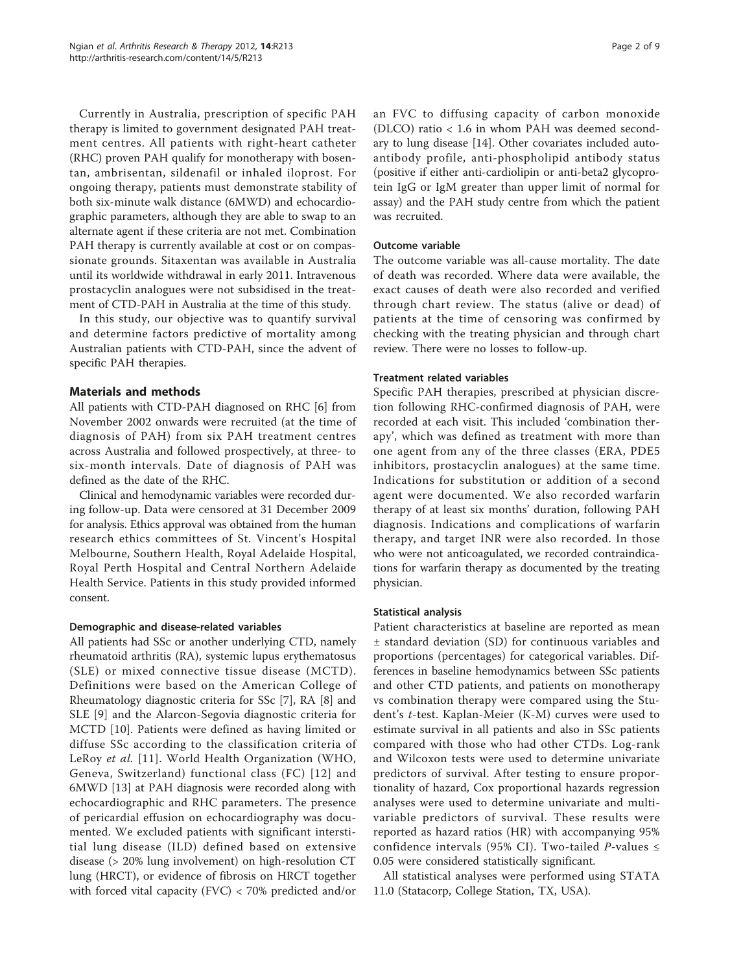Currently in Australia, prescription of specific PAH therapy is limited to government designated PAH treatment centres. All patients with right-heart catheter (RHC) proven PAH qualify for monotherapy with bosentan, ambrisentan, sildenafil or inhaled iloprost. For ongoing therapy, patients must demonstrate stability of both six-minute walk distance (6MWD) and echocardiographic parameters, although they are able to swap to an alternate agent if these criteria are not met. Combination PAH therapy is currently available at cost or on compassionate grounds. Sitaxentan was available in Australia until its worldwide withdrawal in early 2011. Intravenous prostacyclin analogues were not subsidised in the treatment of CTD-PAH in Australia at the time of this study.

In this study, our objective was to quantify survival and determine factors predictive of mortality among Australian patients with CTD-PAH, since the advent of specific PAH therapies.

# Materials and methods

All patients with CTD-PAH diagnosed on RHC [\[6](#page-7-0)] from November 2002 onwards were recruited (at the time of diagnosis of PAH) from six PAH treatment centres across Australia and followed prospectively, at three- to six-month intervals. Date of diagnosis of PAH was defined as the date of the RHC.

Clinical and hemodynamic variables were recorded during follow-up. Data were censored at 31 December 2009 for analysis. Ethics approval was obtained from the human research ethics committees of St. Vincent's Hospital Melbourne, Southern Health, Royal Adelaide Hospital, Royal Perth Hospital and Central Northern Adelaide Health Service. Patients in this study provided informed consent.

#### Demographic and disease-related variables

All patients had SSc or another underlying CTD, namely rheumatoid arthritis (RA), systemic lupus erythematosus (SLE) or mixed connective tissue disease (MCTD). Definitions were based on the American College of Rheumatology diagnostic criteria for SSc [\[7](#page-7-0)], RA [\[8](#page-7-0)] and SLE [[9\]](#page-7-0) and the Alarcon-Segovia diagnostic criteria for MCTD [\[10](#page-7-0)]. Patients were defined as having limited or diffuse SSc according to the classification criteria of LeRoy et al. [[11](#page-7-0)]. World Health Organization (WHO, Geneva, Switzerland) functional class (FC) [[12](#page-7-0)] and 6MWD [\[13\]](#page-7-0) at PAH diagnosis were recorded along with echocardiographic and RHC parameters. The presence of pericardial effusion on echocardiography was documented. We excluded patients with significant interstitial lung disease (ILD) defined based on extensive disease (> 20% lung involvement) on high-resolution CT lung (HRCT), or evidence of fibrosis on HRCT together with forced vital capacity (FVC) < 70% predicted and/or

an FVC to diffusing capacity of carbon monoxide (DLCO) ratio < 1.6 in whom PAH was deemed secondary to lung disease [[14](#page-7-0)]. Other covariates included autoantibody profile, anti-phospholipid antibody status (positive if either anti-cardiolipin or anti-beta2 glycoprotein IgG or IgM greater than upper limit of normal for assay) and the PAH study centre from which the patient was recruited.

# Outcome variable

The outcome variable was all-cause mortality. The date of death was recorded. Where data were available, the exact causes of death were also recorded and verified through chart review. The status (alive or dead) of patients at the time of censoring was confirmed by checking with the treating physician and through chart review. There were no losses to follow-up.

# Treatment related variables

Specific PAH therapies, prescribed at physician discretion following RHC-confirmed diagnosis of PAH, were recorded at each visit. This included 'combination therapy', which was defined as treatment with more than one agent from any of the three classes (ERA, PDE5 inhibitors, prostacyclin analogues) at the same time. Indications for substitution or addition of a second agent were documented. We also recorded warfarin therapy of at least six months' duration, following PAH diagnosis. Indications and complications of warfarin therapy, and target INR were also recorded. In those who were not anticoagulated, we recorded contraindications for warfarin therapy as documented by the treating physician.

#### Statistical analysis

Patient characteristics at baseline are reported as mean ± standard deviation (SD) for continuous variables and proportions (percentages) for categorical variables. Differences in baseline hemodynamics between SSc patients and other CTD patients, and patients on monotherapy vs combination therapy were compared using the Student's t-test. Kaplan-Meier (K-M) curves were used to estimate survival in all patients and also in SSc patients compared with those who had other CTDs. Log-rank and Wilcoxon tests were used to determine univariate predictors of survival. After testing to ensure proportionality of hazard, Cox proportional hazards regression analyses were used to determine univariate and multivariable predictors of survival. These results were reported as hazard ratios (HR) with accompanying 95% confidence intervals (95% CI). Two-tailed P-values  $\leq$ 0.05 were considered statistically significant.

All statistical analyses were performed using STATA 11.0 (Statacorp, College Station, TX, USA).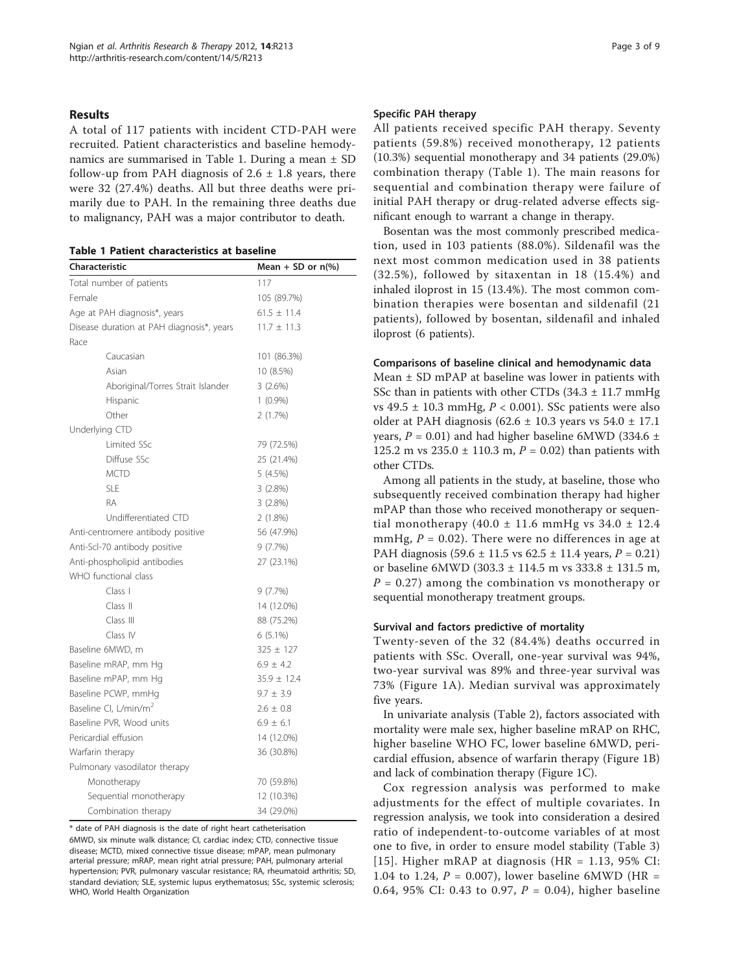# Results

A total of 117 patients with incident CTD-PAH were recruited. Patient characteristics and baseline hemodynamics are summarised in Table 1. During a mean ± SD follow-up from PAH diagnosis of  $2.6 \pm 1.8$  years, there were 32 (27.4%) deaths. All but three deaths were primarily due to PAH. In the remaining three deaths due to malignancy, PAH was a major contributor to death.

Table 1 Patient characteristics at baseline

| <b>Characteristic</b>                     | Mean + SD or $n\frac{6}{6}$ |  |
|-------------------------------------------|-----------------------------|--|
| Total number of patients                  | 117                         |  |
| Female                                    | 105 (89.7%)                 |  |
| Age at PAH diagnosis*, years              | $61.5 \pm 11.4$             |  |
| Disease duration at PAH diagnosis*, years | $11.7 \pm 11.3$             |  |
| Race                                      |                             |  |
| Caucasian                                 | 101 (86.3%)                 |  |
| Asian                                     | 10 (8.5%)                   |  |
| Aboriginal/Torres Strait Islander         | 3(2.6%)                     |  |
| Hispanic                                  | $1(0.9\%)$                  |  |
| Other                                     | 2(1.7%)                     |  |
| Underlying CTD                            |                             |  |
| Limited SSc                               | 79 (72.5%)                  |  |
| Diffuse SSc                               | 25 (21.4%)                  |  |
| <b>MCTD</b>                               | 5(4.5%)                     |  |
| <b>SLE</b>                                | 3(2.8%)                     |  |
| RA                                        | 3(2.8%)                     |  |
| Undifferentiated CTD                      | $2(1.8\%)$                  |  |
| Anti-centromere antibody positive         | 56 (47.9%)                  |  |
| Anti-Scl-70 antibody positive             | 9(7.7%)                     |  |
| Anti-phospholipid antibodies              | 27 (23.1%)                  |  |
| WHO functional class                      |                             |  |
| Class I                                   | 9(7.7%)                     |  |
| Class II                                  | 14 (12.0%)                  |  |
| Class III                                 | 88 (75.2%)                  |  |
| Class IV                                  | $6(5.1\%)$                  |  |
| Baseline 6MWD, m                          | $325 \pm 127$               |  |
| Baseline mRAP, mm Hq                      | $6.9 \pm 4.2$               |  |
| Baseline mPAP, mm Hq                      | $35.9 \pm 12.4$             |  |
| Baseline PCWP, mmHg                       | $9.7 \pm 3.9$               |  |
| Baseline CI, L/min/m <sup>2</sup>         | $2.6 \pm 0.8$               |  |
| Baseline PVR, Wood units                  | $6.9 \pm 6.1$               |  |
| Pericardial effusion                      | 14 (12.0%)                  |  |
| Warfarin therapy                          | 36 (30.8%)                  |  |
| Pulmonary vasodilator therapy             |                             |  |
| Monotherapy                               | 70 (59.8%)                  |  |
| Sequential monotherapy                    | 12 (10.3%)                  |  |
| Combination therapy                       | 34 (29.0%)                  |  |

\* date of PAH diagnosis is the date of right heart catheterisation

6MWD, six minute walk distance; CI, cardiac index; CTD, connective tissue disease; MCTD, mixed connective tissue disease; mPAP, mean pulmonary arterial pressure; mRAP, mean right atrial pressure; PAH, pulmonary arterial hypertension; PVR, pulmonary vascular resistance; RA, rheumatoid arthritis; SD, standard deviation; SLE, systemic lupus erythematosus; SSc, systemic sclerosis; WHO, World Health Organization

#### Specific PAH therapy

All patients received specific PAH therapy. Seventy patients (59.8%) received monotherapy, 12 patients (10.3%) sequential monotherapy and 34 patients (29.0%) combination therapy (Table 1). The main reasons for sequential and combination therapy were failure of initial PAH therapy or drug-related adverse effects significant enough to warrant a change in therapy.

Bosentan was the most commonly prescribed medication, used in 103 patients (88.0%). Sildenafil was the next most common medication used in 38 patients (32.5%), followed by sitaxentan in 18 (15.4%) and inhaled iloprost in 15 (13.4%). The most common combination therapies were bosentan and sildenafil (21 patients), followed by bosentan, sildenafil and inhaled iloprost (6 patients).

#### Comparisons of baseline clinical and hemodynamic data

Mean ± SD mPAP at baseline was lower in patients with SSc than in patients with other CTDs  $(34.3 \pm 11.7 \text{ mmHg})$ vs 49.5  $\pm$  10.3 mmHg,  $P < 0.001$ ). SSc patients were also older at PAH diagnosis (62.6  $\pm$  10.3 years vs 54.0  $\pm$  17.1 years,  $P = 0.01$ ) and had higher baseline 6MWD (334.6  $\pm$ 125.2 m vs  $235.0 \pm 110.3$  m,  $P = 0.02$ ) than patients with other CTDs.

Among all patients in the study, at baseline, those who subsequently received combination therapy had higher mPAP than those who received monotherapy or sequential monotherapy  $(40.0 \pm 11.6 \text{ mmHg vs } 34.0 \pm 12.4 \text{ m}$ mmHg,  $P = 0.02$ ). There were no differences in age at PAH diagnosis  $(59.6 \pm 11.5 \text{ vs } 62.5 \pm 11.4 \text{ years}, P = 0.21)$ or baseline 6MWD (303.3 ± 114.5 m vs 333.8 ± 131.5 m,  $P = 0.27$ ) among the combination vs monotherapy or sequential monotherapy treatment groups.

# Survival and factors predictive of mortality

Twenty-seven of the 32 (84.4%) deaths occurred in patients with SSc. Overall, one-year survival was 94%, two-year survival was 89% and three-year survival was 73% (Figure [1A](#page-3-0)). Median survival was approximately five years.

In univariate analysis (Table [2\)](#page-3-0), factors associated with mortality were male sex, higher baseline mRAP on RHC, higher baseline WHO FC, lower baseline 6MWD, pericardial effusion, absence of warfarin therapy (Figure [1B](#page-3-0)) and lack of combination therapy (Figure [1C\)](#page-3-0).

Cox regression analysis was performed to make adjustments for the effect of multiple covariates. In regression analysis, we took into consideration a desired ratio of independent-to-outcome variables of at most one to five, in order to ensure model stability (Table [3](#page-3-0)) [[15\]](#page-7-0). Higher mRAP at diagnosis (HR = 1.13, 95% CI: 1.04 to 1.24,  $P = 0.007$ ), lower baseline 6MWD (HR = 0.64, 95% CI: 0.43 to 0.97,  $P = 0.04$ ), higher baseline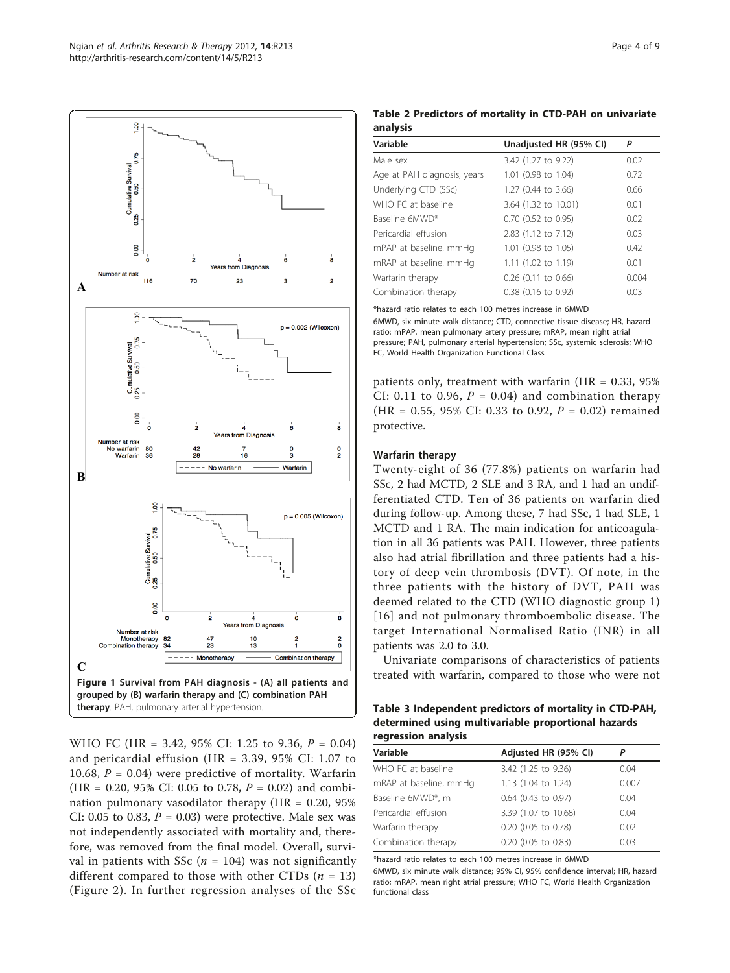<span id="page-3-0"></span>

WHO FC (HR = 3.42, 95% CI: 1.25 to 9.36, P = 0.04) and pericardial effusion (HR = 3.39, 95% CI: 1.07 to 10.68,  $P = 0.04$ ) were predictive of mortality. Warfarin  $(HR = 0.20, 95\% \text{ CI: } 0.05 \text{ to } 0.78, P = 0.02)$  and combination pulmonary vasodilator therapy  $(HR = 0.20, 95\%)$ CI: 0.05 to 0.83,  $P = 0.03$ ) were protective. Male sex was not independently associated with mortality and, therefore, was removed from the final model. Overall, survival in patients with SSc ( $n = 104$ ) was not significantly different compared to those with other CTDs  $(n = 13)$ (Figure [2\)](#page-4-0). In further regression analyses of the SSc

Table 2 Predictors of mortality in CTD-PAH on univariate analysis

| Variable                    | Unadjusted HR (95% CI) | P     |
|-----------------------------|------------------------|-------|
| Male sex                    | 3.42 (1.27 to 9.22)    | 0.02  |
| Age at PAH diagnosis, years | 1.01 (0.98 to 1.04)    | 0.72  |
| Underlying CTD (SSc)        | 1.27 (0.44 to 3.66)    | 0.66  |
| WHO FC at baseline          | 3.64 (1.32 to 10.01)   | 0.01  |
| Baseline 6MWD*              | 0.70 (0.52 to 0.95)    | 0.02  |
| Pericardial effusion        | 2.83 (1.12 to 7.12)    | 0.03  |
| mPAP at baseline, mmHg      | 1.01 (0.98 to 1.05)    | 0.42  |
| mRAP at baseline, mmHq      | 1.11 (1.02 to 1.19)    | 0.01  |
| Warfarin therapy            | $0.26$ (0.11 to 0.66)  | 0.004 |
| Combination therapy         | 0.38 (0.16 to 0.92)    | 0.03  |

\*hazard ratio relates to each 100 metres increase in 6MWD

6MWD, six minute walk distance; CTD, connective tissue disease; HR, hazard ratio; mPAP, mean pulmonary artery pressure; mRAP, mean right atrial pressure; PAH, pulmonary arterial hypertension; SSc, systemic sclerosis; WHO FC, World Health Organization Functional Class

patients only, treatment with warfarin  $(HR = 0.33, 95\%)$ CI: 0.11 to 0.96,  $P = 0.04$ ) and combination therapy (HR = 0.55, 95% CI: 0.33 to 0.92,  $P = 0.02$ ) remained protective.

# Warfarin therapy

Twenty-eight of 36 (77.8%) patients on warfarin had SSc, 2 had MCTD, 2 SLE and 3 RA, and 1 had an undifferentiated CTD. Ten of 36 patients on warfarin died during follow-up. Among these, 7 had SSc, 1 had SLE, 1 MCTD and 1 RA. The main indication for anticoagulation in all 36 patients was PAH. However, three patients also had atrial fibrillation and three patients had a history of deep vein thrombosis (DVT). Of note, in the three patients with the history of DVT, PAH was deemed related to the CTD (WHO diagnostic group 1) [[16](#page-7-0)] and not pulmonary thromboembolic disease. The target International Normalised Ratio (INR) in all patients was 2.0 to 3.0.

Univariate comparisons of characteristics of patients treated with warfarin, compared to those who were not

Table 3 Independent predictors of mortality in CTD-PAH, determined using multivariable proportional hazards regression analysis

| Variable               | Adjusted HR (95% CI) | P     |
|------------------------|----------------------|-------|
| WHO FC at baseline     | 3.42 (1.25 to 9.36)  | 0.04  |
| mRAP at baseline, mmHg | 1.13 (1.04 to 1.24)  | 0.007 |
| Baseline 6MWD*, m      | 0.64 (0.43 to 0.97)  | 0.04  |
| Pericardial effusion   | 3.39 (1.07 to 10.68) | 0.04  |
| Warfarin therapy       | 0.20 (0.05 to 0.78)  | 0.02  |
| Combination therapy    | 0.20 (0.05 to 0.83)  | 0.03  |

\*hazard ratio relates to each 100 metres increase in 6MWD

6MWD, six minute walk distance; 95% CI, 95% confidence interval; HR, hazard ratio; mRAP, mean right atrial pressure; WHO FC, World Health Organization functional class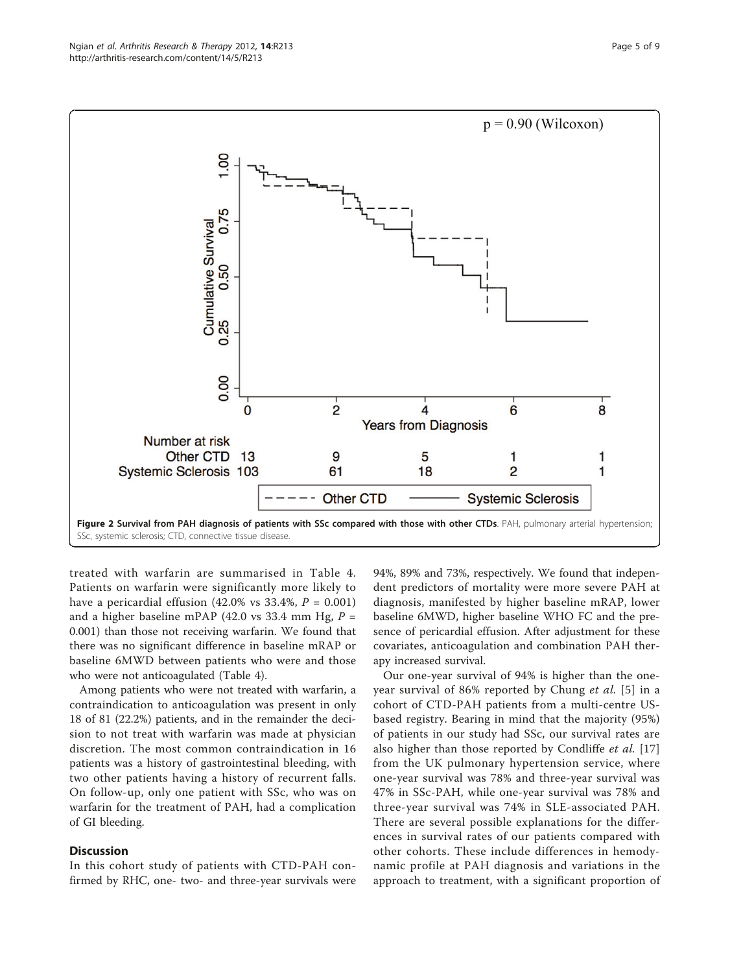<span id="page-4-0"></span>

treated with warfarin are summarised in Table [4](#page-5-0). Patients on warfarin were significantly more likely to have a pericardial effusion  $(42.0\% \text{ vs } 33.4\%, P = 0.001)$ and a higher baseline mPAP (42.0 vs 33.4 mm Hg,  $P =$ 0.001) than those not receiving warfarin. We found that there was no significant difference in baseline mRAP or baseline 6MWD between patients who were and those who were not anticoagulated (Table [4\)](#page-5-0).

Among patients who were not treated with warfarin, a contraindication to anticoagulation was present in only 18 of 81 (22.2%) patients, and in the remainder the decision to not treat with warfarin was made at physician discretion. The most common contraindication in 16 patients was a history of gastrointestinal bleeding, with two other patients having a history of recurrent falls. On follow-up, only one patient with SSc, who was on warfarin for the treatment of PAH, had a complication of GI bleeding.

# **Discussion**

In this cohort study of patients with CTD-PAH confirmed by RHC, one- two- and three-year survivals were

94%, 89% and 73%, respectively. We found that independent predictors of mortality were more severe PAH at diagnosis, manifested by higher baseline mRAP, lower baseline 6MWD, higher baseline WHO FC and the presence of pericardial effusion. After adjustment for these covariates, anticoagulation and combination PAH therapy increased survival.

Our one-year survival of 94% is higher than the oneyear survival of 86% reported by Chung et al. [[5](#page-7-0)] in a cohort of CTD-PAH patients from a multi-centre USbased registry. Bearing in mind that the majority (95%) of patients in our study had SSc, our survival rates are also higher than those reported by Condliffe *et al.* [\[17](#page-7-0)] from the UK pulmonary hypertension service, where one-year survival was 78% and three-year survival was 47% in SSc-PAH, while one-year survival was 78% and three-year survival was 74% in SLE-associated PAH. There are several possible explanations for the differences in survival rates of our patients compared with other cohorts. These include differences in hemodynamic profile at PAH diagnosis and variations in the approach to treatment, with a significant proportion of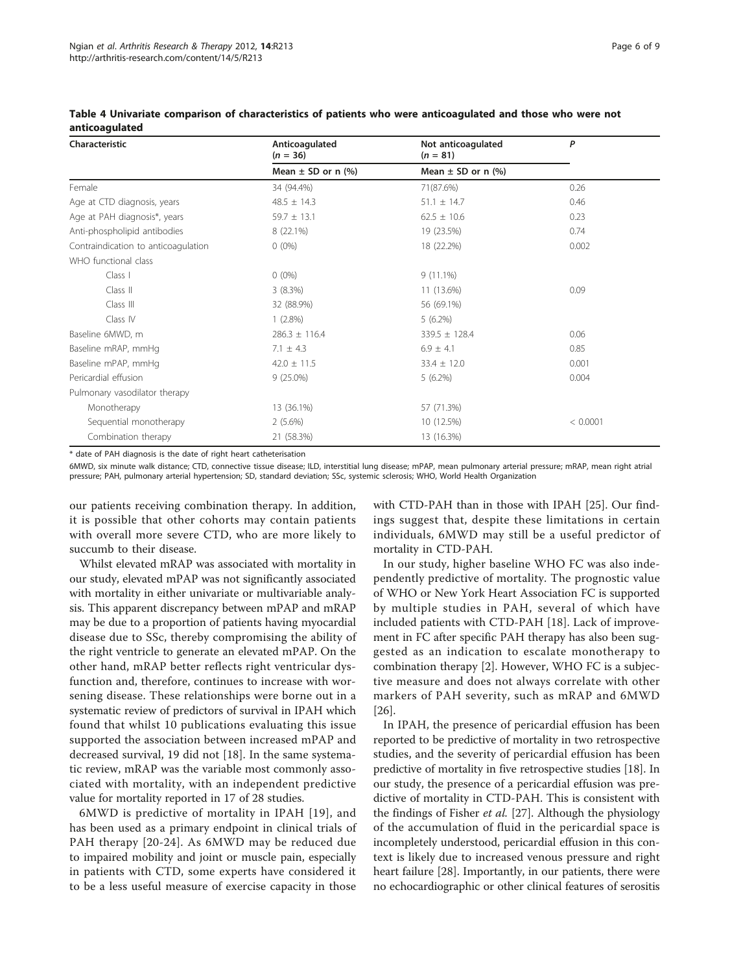| Characteristic                      | Anticoagulated<br>$(n = 36)$ | Not anticoagulated<br>$(n = 81)$ | P        |
|-------------------------------------|------------------------------|----------------------------------|----------|
|                                     | Mean $\pm$ SD or n $(\%)$    | Mean $\pm$ SD or n $(\%)$        |          |
| Female                              | 34 (94.4%)                   | 71(87.6%)                        | 0.26     |
| Age at CTD diagnosis, years         | $48.5 \pm 14.3$              | $51.1 \pm 14.7$                  | 0.46     |
| Age at PAH diagnosis*, years        | $59.7 \pm 13.1$              | $62.5 \pm 10.6$                  | 0.23     |
| Anti-phospholipid antibodies        | 8 (22.1%)                    | 19 (23.5%)                       | 0.74     |
| Contraindication to anticoagulation | $0(0\%)$                     | 18 (22.2%)                       | 0.002    |
| WHO functional class                |                              |                                  |          |
| Class I                             | $0(0\%)$                     | $9(11.1\%)$                      |          |
| Class II                            | $3(8.3\%)$                   | 11 (13.6%)                       | 0.09     |
| Class III                           | 32 (88.9%)                   | 56 (69.1%)                       |          |
| Class IV                            | $1(2.8\%)$                   | $5(6.2\%)$                       |          |
| Baseline 6MWD, m                    | $286.3 \pm 116.4$            | $339.5 \pm 128.4$                | 0.06     |
| Baseline mRAP, mmHq                 | 7.1 $\pm$ 4.3                | $6.9 \pm 4.1$                    | 0.85     |
| Baseline mPAP, mmHg                 | $42.0 \pm 11.5$              | $33.4 \pm 12.0$                  | 0.001    |
| Pericardial effusion                | $9(25.0\%)$                  | $5(6.2\%)$                       | 0.004    |
| Pulmonary vasodilator therapy       |                              |                                  |          |
| Monotherapy                         | 13 (36.1%)                   | 57 (71.3%)                       |          |
| Sequential monotherapy              | $2(5.6\%)$                   | 10 (12.5%)                       | < 0.0001 |
| Combination therapy                 | 21 (58.3%)                   | 13 (16.3%)                       |          |
|                                     |                              |                                  |          |

<span id="page-5-0"></span>Table 4 Univariate comparison of characteristics of patients who were anticoagulated and those who were not anticoagulated

\* date of PAH diagnosis is the date of right heart catheterisation

6MWD, six minute walk distance; CTD, connective tissue disease; ILD, interstitial lung disease; mPAP, mean pulmonary arterial pressure; mRAP, mean right atrial pressure; PAH, pulmonary arterial hypertension; SD, standard deviation; SSc, systemic sclerosis; WHO, World Health Organization

our patients receiving combination therapy. In addition, it is possible that other cohorts may contain patients with overall more severe CTD, who are more likely to succumb to their disease.

Whilst elevated mRAP was associated with mortality in our study, elevated mPAP was not significantly associated with mortality in either univariate or multivariable analysis. This apparent discrepancy between mPAP and mRAP may be due to a proportion of patients having myocardial disease due to SSc, thereby compromising the ability of the right ventricle to generate an elevated mPAP. On the other hand, mRAP better reflects right ventricular dysfunction and, therefore, continues to increase with worsening disease. These relationships were borne out in a systematic review of predictors of survival in IPAH which found that whilst 10 publications evaluating this issue supported the association between increased mPAP and decreased survival, 19 did not [\[18](#page-7-0)]. In the same systematic review, mRAP was the variable most commonly associated with mortality, with an independent predictive value for mortality reported in 17 of 28 studies.

6MWD is predictive of mortality in IPAH [\[19\]](#page-7-0), and has been used as a primary endpoint in clinical trials of PAH therapy [[20-24\]](#page-7-0). As 6MWD may be reduced due to impaired mobility and joint or muscle pain, especially in patients with CTD, some experts have considered it to be a less useful measure of exercise capacity in those

with CTD-PAH than in those with IPAH [[25\]](#page-7-0). Our findings suggest that, despite these limitations in certain individuals, 6MWD may still be a useful predictor of mortality in CTD-PAH.

In our study, higher baseline WHO FC was also independently predictive of mortality. The prognostic value of WHO or New York Heart Association FC is supported by multiple studies in PAH, several of which have included patients with CTD-PAH [[18\]](#page-7-0). Lack of improvement in FC after specific PAH therapy has also been suggested as an indication to escalate monotherapy to combination therapy [[2\]](#page-7-0). However, WHO FC is a subjective measure and does not always correlate with other markers of PAH severity, such as mRAP and 6MWD [[26\]](#page-7-0).

In IPAH, the presence of pericardial effusion has been reported to be predictive of mortality in two retrospective studies, and the severity of pericardial effusion has been predictive of mortality in five retrospective studies [\[18\]](#page-7-0). In our study, the presence of a pericardial effusion was predictive of mortality in CTD-PAH. This is consistent with the findings of Fisher et al. [[27](#page-7-0)]. Although the physiology of the accumulation of fluid in the pericardial space is incompletely understood, pericardial effusion in this context is likely due to increased venous pressure and right heart failure [\[28\]](#page-7-0). Importantly, in our patients, there were no echocardiographic or other clinical features of serositis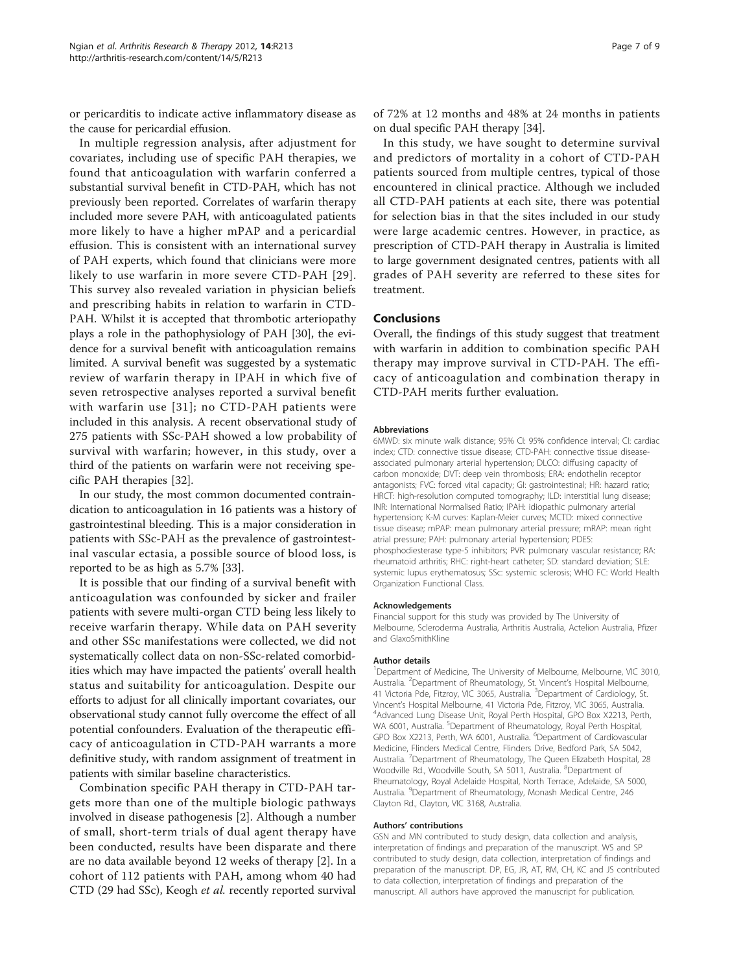or pericarditis to indicate active inflammatory disease as the cause for pericardial effusion.

In multiple regression analysis, after adjustment for covariates, including use of specific PAH therapies, we found that anticoagulation with warfarin conferred a substantial survival benefit in CTD-PAH, which has not previously been reported. Correlates of warfarin therapy included more severe PAH, with anticoagulated patients more likely to have a higher mPAP and a pericardial effusion. This is consistent with an international survey of PAH experts, which found that clinicians were more likely to use warfarin in more severe CTD-PAH [[29\]](#page-7-0). This survey also revealed variation in physician beliefs and prescribing habits in relation to warfarin in CTD-PAH. Whilst it is accepted that thrombotic arteriopathy plays a role in the pathophysiology of PAH [\[30\]](#page-7-0), the evidence for a survival benefit with anticoagulation remains limited. A survival benefit was suggested by a systematic review of warfarin therapy in IPAH in which five of seven retrospective analyses reported a survival benefit with warfarin use [[31](#page-7-0)]; no CTD-PAH patients were included in this analysis. A recent observational study of 275 patients with SSc-PAH showed a low probability of survival with warfarin; however, in this study, over a third of the patients on warfarin were not receiving specific PAH therapies [[32\]](#page-7-0).

In our study, the most common documented contraindication to anticoagulation in 16 patients was a history of gastrointestinal bleeding. This is a major consideration in patients with SSc-PAH as the prevalence of gastrointestinal vascular ectasia, a possible source of blood loss, is reported to be as high as 5.7% [\[33\]](#page-7-0).

It is possible that our finding of a survival benefit with anticoagulation was confounded by sicker and frailer patients with severe multi-organ CTD being less likely to receive warfarin therapy. While data on PAH severity and other SSc manifestations were collected, we did not systematically collect data on non-SSc-related comorbidities which may have impacted the patients' overall health status and suitability for anticoagulation. Despite our efforts to adjust for all clinically important covariates, our observational study cannot fully overcome the effect of all potential confounders. Evaluation of the therapeutic efficacy of anticoagulation in CTD-PAH warrants a more definitive study, with random assignment of treatment in patients with similar baseline characteristics.

Combination specific PAH therapy in CTD-PAH targets more than one of the multiple biologic pathways involved in disease pathogenesis [[2\]](#page-7-0). Although a number of small, short-term trials of dual agent therapy have been conducted, results have been disparate and there are no data available beyond 12 weeks of therapy [[2\]](#page-7-0). In a cohort of 112 patients with PAH, among whom 40 had CTD (29 had SSc), Keogh et al. recently reported survival

of 72% at 12 months and 48% at 24 months in patients on dual specific PAH therapy [[34](#page-7-0)].

In this study, we have sought to determine survival and predictors of mortality in a cohort of CTD-PAH patients sourced from multiple centres, typical of those encountered in clinical practice. Although we included all CTD-PAH patients at each site, there was potential for selection bias in that the sites included in our study were large academic centres. However, in practice, as prescription of CTD-PAH therapy in Australia is limited to large government designated centres, patients with all grades of PAH severity are referred to these sites for treatment.

#### Conclusions

Overall, the findings of this study suggest that treatment with warfarin in addition to combination specific PAH therapy may improve survival in CTD-PAH. The efficacy of anticoagulation and combination therapy in CTD-PAH merits further evaluation.

#### **Abbreviations**

6MWD: six minute walk distance; 95% CI: 95% confidence interval; CI: cardiac index; CTD: connective tissue disease; CTD-PAH: connective tissue diseaseassociated pulmonary arterial hypertension; DLCO: diffusing capacity of carbon monoxide; DVT: deep vein thrombosis; ERA: endothelin receptor antagonists; FVC: forced vital capacity; GI: gastrointestinal; HR: hazard ratio; HRCT: high-resolution computed tomography; ILD: interstitial lung disease; INR: International Normalised Ratio; IPAH: idiopathic pulmonary arterial hypertension; K-M curves: Kaplan-Meier curves; MCTD: mixed connective tissue disease; mPAP: mean pulmonary arterial pressure; mRAP: mean right atrial pressure; PAH: pulmonary arterial hypertension; PDE5: phosphodiesterase type-5 inhibitors; PVR: pulmonary vascular resistance; RA: rheumatoid arthritis; RHC: right-heart catheter; SD: standard deviation; SLE: systemic lupus erythematosus; SSc: systemic sclerosis; WHO FC: World Health Organization Functional Class.

#### Acknowledgements

Financial support for this study was provided by The University of Melbourne, Scleroderma Australia, Arthritis Australia, Actelion Australia, Pfizer and GlaxoSmithKline

#### Author details

<sup>1</sup>Department of Medicine, The University of Melbourne, Melbourne, VIC 3010 Australia. <sup>2</sup>Department of Rheumatology, St. Vincent's Hospital Melbourne 41 Victoria Pde, Fitzroy, VIC 3065, Australia. <sup>3</sup>Department of Cardiology, St. Vincent's Hospital Melbourne, 41 Victoria Pde, Fitzroy, VIC 3065, Australia. <sup>4</sup> <sup>4</sup>Advanced Lung Disease Unit, Royal Perth Hospital, GPO Box X2213, Perth, WA 6001, Australia. <sup>5</sup>Department of Rheumatology, Royal Perth Hospital GPO Box X2213, Perth, WA 6001, Australia. <sup>6</sup>Department of Cardiovascular Medicine, Flinders Medical Centre, Flinders Drive, Bedford Park, SA 5042, Australia. <sup>7</sup> Department of Rheumatology, The Queen Elizabeth Hospital, 28 Woodville Rd., Woodville South, SA 5011, Australia. <sup>8</sup>Department of Rheumatology, Royal Adelaide Hospital, North Terrace, Adelaide, SA 5000, Australia. <sup>9</sup>Department of Rheumatology, Monash Medical Centre, 246 Clayton Rd., Clayton, VIC 3168, Australia.

#### Authors' contributions

GSN and MN contributed to study design, data collection and analysis, interpretation of findings and preparation of the manuscript. WS and SP contributed to study design, data collection, interpretation of findings and preparation of the manuscript. DP, EG, JR, AT, RM, CH, KC and JS contributed to data collection, interpretation of findings and preparation of the manuscript. All authors have approved the manuscript for publication.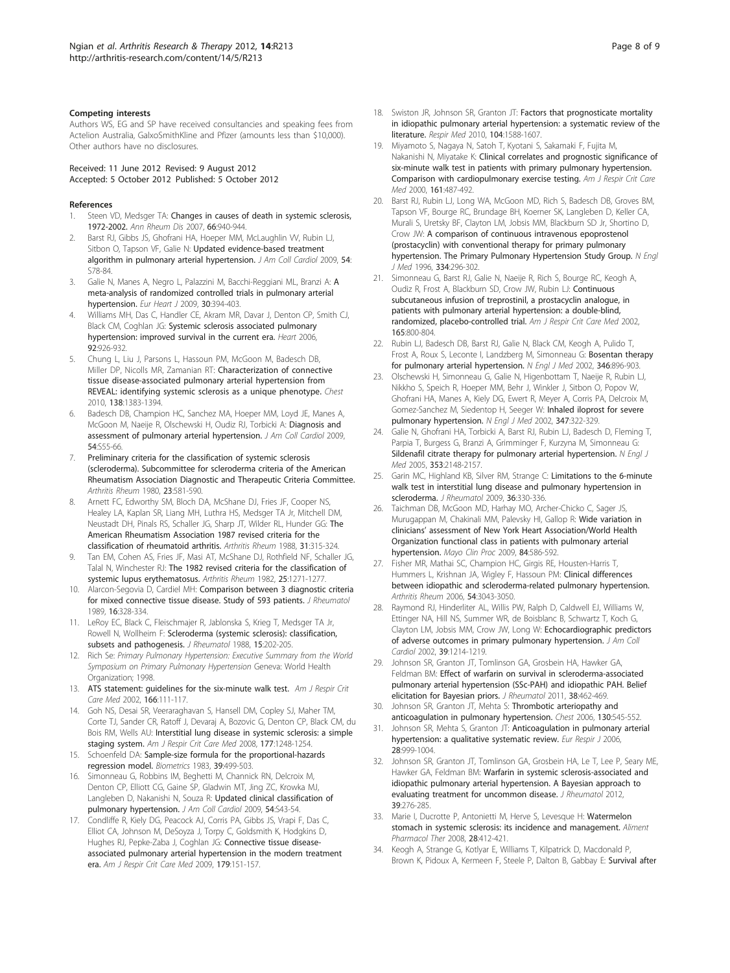#### <span id="page-7-0"></span>Competing interests

Authors WS, EG and SP have received consultancies and speaking fees from Actelion Australia, GalxoSmithKline and Pfizer (amounts less than \$10,000). Other authors have no disclosures.

Received: 11 June 2012 Revised: 9 August 2012 Accepted: 5 October 2012 Published: 5 October 2012

#### **References**

- 1. Steen VD, Medsger TA: [Changes in causes of death in systemic sclerosis,](http://www.ncbi.nlm.nih.gov/pubmed/17329309?dopt=Abstract) [1972-2002.](http://www.ncbi.nlm.nih.gov/pubmed/17329309?dopt=Abstract) Ann Rheum Dis 2007, 66:940-944.
- Barst RJ, Gibbs JS, Ghofrani HA, Hoeper MM, McLaughlin W, Rubin LJ, Sitbon O, Tapson VF, Galie N: [Updated evidence-based treatment](http://www.ncbi.nlm.nih.gov/pubmed/19555861?dopt=Abstract) [algorithm in pulmonary arterial hypertension.](http://www.ncbi.nlm.nih.gov/pubmed/19555861?dopt=Abstract) J Am Coll Cardiol 2009, 54: S78-84.
- Galie N, Manes [A](http://www.ncbi.nlm.nih.gov/pubmed/19155250?dopt=Abstract), Negro L, Palazzini M, Bacchi-Reggiani ML, Branzi A: A [meta-analysis of randomized controlled trials in pulmonary arterial](http://www.ncbi.nlm.nih.gov/pubmed/19155250?dopt=Abstract) [hypertension.](http://www.ncbi.nlm.nih.gov/pubmed/19155250?dopt=Abstract) Eur Heart J 2009, 30:394-403.
- 4. Williams MH, Das C, Handler CE, Akram MR, Davar J, Denton CP, Smith CJ, Black CM, Coghlan JG: [Systemic sclerosis associated pulmonary](http://www.ncbi.nlm.nih.gov/pubmed/16339813?dopt=Abstract) [hypertension: improved survival in the current era.](http://www.ncbi.nlm.nih.gov/pubmed/16339813?dopt=Abstract) Heart 2006, 92:926-932.
- 5. Chung L, Liu J, Parsons L, Hassoun PM, McGoon M, Badesch DB, Miller DP, Nicolls MR, Zamanian RT: [Characterization of connective](http://www.ncbi.nlm.nih.gov/pubmed/20507945?dopt=Abstract) [tissue disease-associated pulmonary arterial hypertension from](http://www.ncbi.nlm.nih.gov/pubmed/20507945?dopt=Abstract) [REVEAL: identifying systemic sclerosis as a unique phenotype.](http://www.ncbi.nlm.nih.gov/pubmed/20507945?dopt=Abstract) Chest 2010, 138:1383-1394.
- Badesch DB, Champion HC, Sanchez MA, Hoeper MM, Loyd JE, Manes A, McGoon M, Naeije R, Olschewski H, Oudiz RJ, Torbicki A: [Diagnosis and](http://www.ncbi.nlm.nih.gov/pubmed/19555859?dopt=Abstract) [assessment of pulmonary arterial hypertension.](http://www.ncbi.nlm.nih.gov/pubmed/19555859?dopt=Abstract) J Am Coll Cardiol 2009, 54:S55-66.
- 7. Preliminary criteria for the classification of systemic sclerosis (scleroderma). Subcommittee for scleroderma criteria of the American Rheumatism Association Diagnostic and Therapeutic Criteria Committee. Arthritis Rheum 1980, 23:581-590.
- Arnett FC, Edworthy SM, Bloch DA, McShane DJ, Fries JF, Cooper NS, Healey LA, Kaplan SR, Liang MH, Luthra HS, Medsger TA Jr, Mitchell DM, Neustadt DH, Pinals RS, Schaller JG, Sharp JT, Wilder RL, Hunder GG: [The](http://www.ncbi.nlm.nih.gov/pubmed/3358796?dopt=Abstract) [American Rheumatism Association 1987 revised criteria for the](http://www.ncbi.nlm.nih.gov/pubmed/3358796?dopt=Abstract) [classification of rheumatoid arthritis.](http://www.ncbi.nlm.nih.gov/pubmed/3358796?dopt=Abstract) Arthritis Rheum 1988, 31:315-324.
- 9. Tan EM, Cohen AS, Fries JF, Masi AT, McShane DJ, Rothfield NF, Schaller JG, Talal N, Winchester RJ: [The 1982 revised criteria for the classification of](http://www.ncbi.nlm.nih.gov/pubmed/7138600?dopt=Abstract) [systemic lupus erythematosus.](http://www.ncbi.nlm.nih.gov/pubmed/7138600?dopt=Abstract) Arthritis Rheum 1982, 25:1271-1277.
- 10. Alarcon-Segovia D, Cardiel MH: [Comparison between 3 diagnostic criteria](http://www.ncbi.nlm.nih.gov/pubmed/2724251?dopt=Abstract) [for mixed connective tissue disease. Study of 593 patients.](http://www.ncbi.nlm.nih.gov/pubmed/2724251?dopt=Abstract) J Rheumatol 1989, 16:328-334.
- 11. LeRoy EC, Black C, Fleischmajer R, Jablonska S, Krieg T, Medsger TA Jr, Rowell N, Wollheim F: [Scleroderma \(systemic sclerosis\): classification,](http://www.ncbi.nlm.nih.gov/pubmed/3361530?dopt=Abstract) [subsets and pathogenesis.](http://www.ncbi.nlm.nih.gov/pubmed/3361530?dopt=Abstract) J Rheumatol 1988, 15:202-205.
- 12. Rich Se: Primary Pulmonary Hypertension: Executive Summary from the World Symposium on Primary Pulmonary Hypertension Geneva: World Health Organization; 1998.
- 13. ATS statement: guidelines for the six-minute walk test. Am J Respir Crit Care Med 2002, 166:111-117.
- 14. Goh NS, Desai SR, Veeraraghavan S, Hansell DM, Copley SJ, Maher TM, Corte TJ, Sander CR, Ratoff J, Devaraj A, Bozovic G, Denton CP, Black CM, du Bois RM, Wells AU: [Interstitial lung disease in systemic sclerosis: a simple](http://www.ncbi.nlm.nih.gov/pubmed/18369202?dopt=Abstract) [staging system.](http://www.ncbi.nlm.nih.gov/pubmed/18369202?dopt=Abstract) Am J Respir Crit Care Med 2008, 177:1248-1254.
- 15. Schoenfeld DA: [Sample-size formula for the proportional-hazards](http://www.ncbi.nlm.nih.gov/pubmed/6354290?dopt=Abstract) [regression model.](http://www.ncbi.nlm.nih.gov/pubmed/6354290?dopt=Abstract) Biometrics 1983, 39:499-503.
- 16. Simonneau G, Robbins IM, Beghetti M, Channick RN, Delcroix M, Denton CP, Elliott CG, Gaine SP, Gladwin MT, Jing ZC, Krowka MJ, Langleben D, Nakanishi N, Souza R: [Updated clinical classification of](http://www.ncbi.nlm.nih.gov/pubmed/19555858?dopt=Abstract) [pulmonary hypertension.](http://www.ncbi.nlm.nih.gov/pubmed/19555858?dopt=Abstract) J Am Coll Cardiol 2009, 54:S43-54.
- 17. Condliffe R, Kiely DG, Peacock AJ, Corris PA, Gibbs JS, Vrapi F, Das C, Elliot CA, Johnson M, DeSoyza J, Torpy C, Goldsmith K, Hodgkins D, Hughes RJ, Pepke-Zaba J, Coghlan JG: [Connective tissue disease](http://www.ncbi.nlm.nih.gov/pubmed/18931333?dopt=Abstract)[associated pulmonary arterial hypertension in the modern treatment](http://www.ncbi.nlm.nih.gov/pubmed/18931333?dopt=Abstract) [era.](http://www.ncbi.nlm.nih.gov/pubmed/18931333?dopt=Abstract) Am J Respir Crit Care Med 2009, 179:151-157.
- 18. Swiston JR, Johnson SR, Granton JT: [Factors that prognosticate mortality](http://www.ncbi.nlm.nih.gov/pubmed/20810261?dopt=Abstract) [in idiopathic pulmonary arterial hypertension: a systematic review of the](http://www.ncbi.nlm.nih.gov/pubmed/20810261?dopt=Abstract) [literature.](http://www.ncbi.nlm.nih.gov/pubmed/20810261?dopt=Abstract) Respir Med 2010, 104:1588-1607.
- 19. Miyamoto S, Nagaya N, Satoh T, Kyotani S, Sakamaki F, Fujita M, Nakanishi N, Miyatake K: [Clinical correlates and prognostic significance of](http://www.ncbi.nlm.nih.gov/pubmed/10673190?dopt=Abstract) [six-minute walk test in patients with primary pulmonary hypertension.](http://www.ncbi.nlm.nih.gov/pubmed/10673190?dopt=Abstract) [Comparison with cardiopulmonary exercise testing.](http://www.ncbi.nlm.nih.gov/pubmed/10673190?dopt=Abstract) Am J Respir Crit Care Med 2000, 161:487-492.
- Barst RJ, Rubin LJ, Long WA, McGoon MD, Rich S, Badesch DB, Groves BM, Tapson VF, Bourge RC, Brundage BH, Koerner SK, Langleben D, Keller CA, Murali S, Uretsky BF, Clayton LM, Jobsis MM, Blackburn SD Jr, Shortino D, Crow JW: [A comparison of continuous intravenous epoprostenol](http://www.ncbi.nlm.nih.gov/pubmed/8532025?dopt=Abstract) [\(prostacyclin\) with conventional therapy for primary pulmonary](http://www.ncbi.nlm.nih.gov/pubmed/8532025?dopt=Abstract) [hypertension. The Primary Pulmonary Hypertension Study Group.](http://www.ncbi.nlm.nih.gov/pubmed/8532025?dopt=Abstract) N Engl J Med 1996, 334:296-302.
- 21. Simonneau G, Barst RJ, Galie N, Naeije R, Rich S, Bourge RC, Keogh A, Oudiz R, Frost A, Blackburn SD, Crow JW, Rubin LJ: [Continuous](http://www.ncbi.nlm.nih.gov/pubmed/11897647?dopt=Abstract) [subcutaneous infusion of treprostinil, a prostacyclin analogue, in](http://www.ncbi.nlm.nih.gov/pubmed/11897647?dopt=Abstract) [patients with pulmonary arterial hypertension: a double-blind,](http://www.ncbi.nlm.nih.gov/pubmed/11897647?dopt=Abstract) [randomized, placebo-controlled trial.](http://www.ncbi.nlm.nih.gov/pubmed/11897647?dopt=Abstract) Am J Respir Crit Care Med 2002, 165:800-804.
- 22. Rubin LJ, Badesch DB, Barst RJ, Galie N, Black CM, Keogh A, Pulido T, Frost A, Roux S, Leconte I, Landzberg M, Simonneau G: [Bosentan therapy](http://www.ncbi.nlm.nih.gov/pubmed/11907289?dopt=Abstract) [for pulmonary arterial hypertension.](http://www.ncbi.nlm.nih.gov/pubmed/11907289?dopt=Abstract) N Engl J Med 2002, 346:896-903.
- 23. Olschewski H, Simonneau G, Galie N, Higenbottam T, Naeije R, Rubin LJ, Nikkho S, Speich R, Hoeper MM, Behr J, Winkler J, Sitbon O, Popov W, Ghofrani HA, Manes A, Kiely DG, Ewert R, Meyer A, Corris PA, Delcroix M, Gomez-Sanchez M, Siedentop H, Seeger W: [Inhaled iloprost for severe](http://www.ncbi.nlm.nih.gov/pubmed/12151469?dopt=Abstract) [pulmonary hypertension.](http://www.ncbi.nlm.nih.gov/pubmed/12151469?dopt=Abstract) N Engl J Med 2002, 347:322-329.
- 24. Galie N, Ghofrani HA, Torbicki A, Barst RJ, Rubin LJ, Badesch D, Fleming T, Parpia T, Burgess G, Branzi A, Grimminger F, Kurzyna M, Simonneau G: [Sildenafil citrate therapy for pulmonary arterial hypertension.](http://www.ncbi.nlm.nih.gov/pubmed/16291984?dopt=Abstract) N Engl J Med 2005, 353:2148-2157.
- 25. Garin MC, Highland KB, Silver RM, Strange C: [Limitations to the 6-minute](http://www.ncbi.nlm.nih.gov/pubmed/19208563?dopt=Abstract) [walk test in interstitial lung disease and pulmonary hypertension in](http://www.ncbi.nlm.nih.gov/pubmed/19208563?dopt=Abstract) [scleroderma.](http://www.ncbi.nlm.nih.gov/pubmed/19208563?dopt=Abstract) J Rheumatol 2009, 36:330-336.
- 26. Taichman DB, McGoon MD, Harhay MO, Archer-Chicko C, Sager JS, Murugappan M, Chakinali MM, Palevsky HI, Gallop R: [Wide variation in](http://www.ncbi.nlm.nih.gov/pubmed/19567712?dopt=Abstract) clinicians' [assessment of New York Heart Association/World Health](http://www.ncbi.nlm.nih.gov/pubmed/19567712?dopt=Abstract) [Organization functional class in patients with pulmonary arterial](http://www.ncbi.nlm.nih.gov/pubmed/19567712?dopt=Abstract) [hypertension.](http://www.ncbi.nlm.nih.gov/pubmed/19567712?dopt=Abstract) Mayo Clin Proc 2009, 84:586-592.
- 27. Fisher MR, Mathai SC, Champion HC, Girgis RE, Housten-Harris T, Hummers L, Krishnan JA, Wigley F, Hassoun PM: [Clinical differences](http://www.ncbi.nlm.nih.gov/pubmed/16947776?dopt=Abstract) [between idiopathic and scleroderma-related pulmonary hypertension.](http://www.ncbi.nlm.nih.gov/pubmed/16947776?dopt=Abstract) Arthritis Rheum 2006, 54:3043-3050.
- 28. Raymond RJ, Hinderliter AL, Willis PW, Ralph D, Caldwell EJ, Williams W, Ettinger NA, Hill NS, Summer WR, de Boisblanc B, Schwartz T, Koch G, Clayton LM, Jobsis MM, Crow JW, Long W: [Echocardiographic predictors](http://www.ncbi.nlm.nih.gov/pubmed/11923049?dopt=Abstract) [of adverse outcomes in primary pulmonary hypertension.](http://www.ncbi.nlm.nih.gov/pubmed/11923049?dopt=Abstract) J Am Coll Cardiol 2002, 39:1214-1219.
- 29. Johnson SR, Granton JT, Tomlinson GA, Grosbein HA, Hawker GA, Feldman BM: [Effect of warfarin on survival in scleroderma-associated](http://www.ncbi.nlm.nih.gov/pubmed/21159827?dopt=Abstract) [pulmonary arterial hypertension \(SSc-PAH\) and idiopathic PAH. Belief](http://www.ncbi.nlm.nih.gov/pubmed/21159827?dopt=Abstract) [elicitation for Bayesian priors.](http://www.ncbi.nlm.nih.gov/pubmed/21159827?dopt=Abstract) J Rheumatol 2011, 38:462-469.
- 30. Johnson SR, Granton JT, Mehta S: [Thrombotic arteriopathy and](http://www.ncbi.nlm.nih.gov/pubmed/16899857?dopt=Abstract) [anticoagulation in pulmonary hypertension.](http://www.ncbi.nlm.nih.gov/pubmed/16899857?dopt=Abstract) Chest 2006, 130:545-552.
- 31. Johnson SR, Mehta S, Granton JT: [Anticoagulation in pulmonary arterial](http://www.ncbi.nlm.nih.gov/pubmed/17074918?dopt=Abstract) [hypertension: a qualitative systematic review.](http://www.ncbi.nlm.nih.gov/pubmed/17074918?dopt=Abstract) Eur Respir J 2006, 28:999-1004.
- 32. Johnson SR, Granton JT, Tomlinson GA, Grosbein HA, Le T, Lee P, Seary ME, Hawker GA, Feldman BM: [Warfarin in systemic sclerosis-associated and](http://www.ncbi.nlm.nih.gov/pubmed/22247353?dopt=Abstract) [idiopathic pulmonary arterial hypertension. A Bayesian approach to](http://www.ncbi.nlm.nih.gov/pubmed/22247353?dopt=Abstract) [evaluating treatment for uncommon disease.](http://www.ncbi.nlm.nih.gov/pubmed/22247353?dopt=Abstract) *J Rheumatol* 2012, 39:276-285.
- 33. Marie I, Ducrotte P, Antonietti M, Herve S, Levesque H: [Watermelon](http://www.ncbi.nlm.nih.gov/pubmed/18498445?dopt=Abstract) [stomach in systemic sclerosis: its incidence and management.](http://www.ncbi.nlm.nih.gov/pubmed/18498445?dopt=Abstract) Aliment Pharmacol Ther 2008, 28:412-421.
- 34. Keogh A, Strange G, Kotlyar E, Williams T, Kilpatrick D, Macdonald P, Brown K, Pidoux A, Kermeen F, Steele P, Dalton B, Gabbay E: [Survival after](http://www.ncbi.nlm.nih.gov/pubmed/21118410?dopt=Abstract)